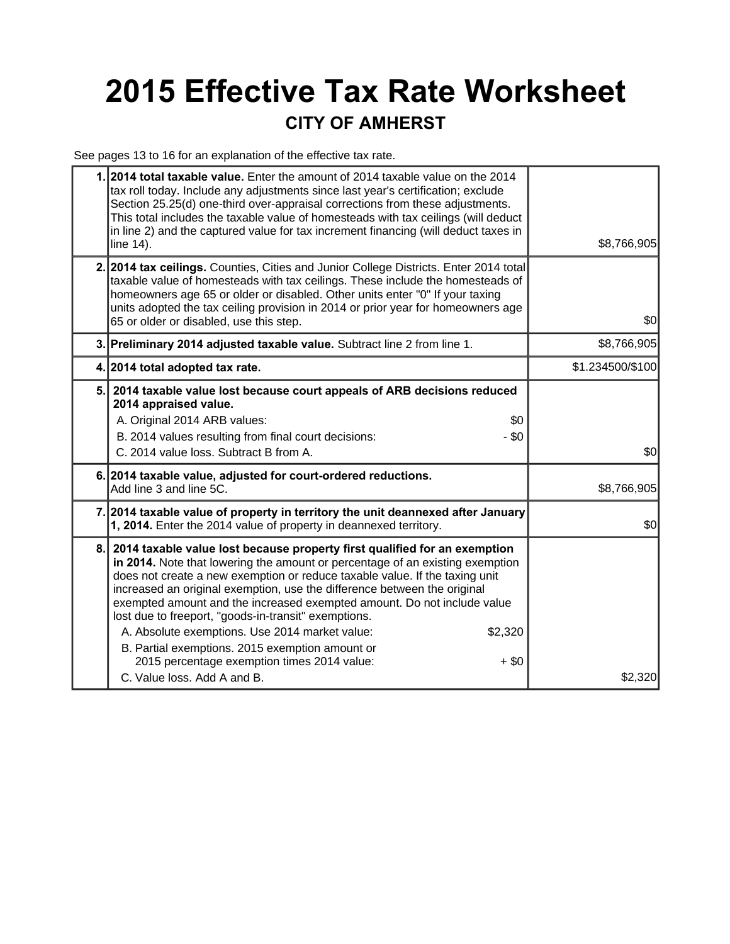## **2015 Effective Tax Rate Worksheet CITY OF AMHERST**

See pages 13 to 16 for an explanation of the effective tax rate.

|    | 1. 2014 total taxable value. Enter the amount of 2014 taxable value on the 2014<br>tax roll today. Include any adjustments since last year's certification; exclude<br>Section 25.25(d) one-third over-appraisal corrections from these adjustments.<br>This total includes the taxable value of homesteads with tax ceilings (will deduct<br>in line 2) and the captured value for tax increment financing (will deduct taxes in<br>line 14).                                                                                                                                                                                                                    | \$8,766,905      |  |
|----|-------------------------------------------------------------------------------------------------------------------------------------------------------------------------------------------------------------------------------------------------------------------------------------------------------------------------------------------------------------------------------------------------------------------------------------------------------------------------------------------------------------------------------------------------------------------------------------------------------------------------------------------------------------------|------------------|--|
|    | 2. 2014 tax ceilings. Counties, Cities and Junior College Districts. Enter 2014 total<br>taxable value of homesteads with tax ceilings. These include the homesteads of<br>homeowners age 65 or older or disabled. Other units enter "0" If your taxing<br>units adopted the tax ceiling provision in 2014 or prior year for homeowners age<br>65 or older or disabled, use this step.                                                                                                                                                                                                                                                                            | \$0              |  |
|    | 3. Preliminary 2014 adjusted taxable value. Subtract line 2 from line 1.                                                                                                                                                                                                                                                                                                                                                                                                                                                                                                                                                                                          | \$8,766,905      |  |
|    | 4. 2014 total adopted tax rate.                                                                                                                                                                                                                                                                                                                                                                                                                                                                                                                                                                                                                                   | \$1.234500/\$100 |  |
| 5. | 2014 taxable value lost because court appeals of ARB decisions reduced<br>2014 appraised value.<br>A. Original 2014 ARB values:<br>\$0<br>- \$0<br>B. 2014 values resulting from final court decisions:<br>C. 2014 value loss. Subtract B from A.                                                                                                                                                                                                                                                                                                                                                                                                                 | \$0              |  |
|    | 6. 2014 taxable value, adjusted for court-ordered reductions.<br>Add line 3 and line 5C.                                                                                                                                                                                                                                                                                                                                                                                                                                                                                                                                                                          | \$8,766,905      |  |
|    | 7. 2014 taxable value of property in territory the unit deannexed after January<br>1, 2014. Enter the 2014 value of property in deannexed territory.                                                                                                                                                                                                                                                                                                                                                                                                                                                                                                              | \$0              |  |
| 8. | 2014 taxable value lost because property first qualified for an exemption<br>in 2014. Note that lowering the amount or percentage of an existing exemption<br>does not create a new exemption or reduce taxable value. If the taxing unit<br>increased an original exemption, use the difference between the original<br>exempted amount and the increased exempted amount. Do not include value<br>lost due to freeport, "goods-in-transit" exemptions.<br>A. Absolute exemptions. Use 2014 market value:<br>\$2,320<br>B. Partial exemptions. 2015 exemption amount or<br>2015 percentage exemption times 2014 value:<br>$+$ \$0<br>C. Value loss, Add A and B. | \$2,320          |  |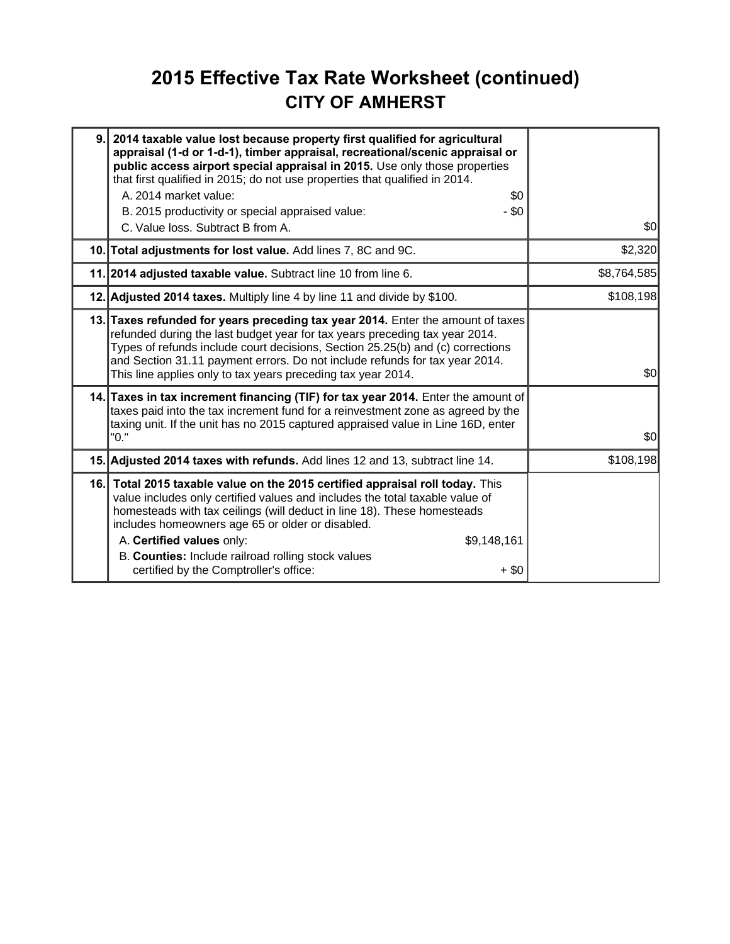### **2015 Effective Tax Rate Worksheet (continued) CITY OF AMHERST**

| 9. | 2014 taxable value lost because property first qualified for agricultural<br>appraisal (1-d or 1-d-1), timber appraisal, recreational/scenic appraisal or<br>public access airport special appraisal in 2015. Use only those properties<br>that first qualified in 2015; do not use properties that qualified in 2014.<br>A. 2014 market value:<br>\$0<br>- \$0<br>B. 2015 productivity or special appraised value:<br>C. Value loss. Subtract B from A. | \$0         |
|----|----------------------------------------------------------------------------------------------------------------------------------------------------------------------------------------------------------------------------------------------------------------------------------------------------------------------------------------------------------------------------------------------------------------------------------------------------------|-------------|
|    | 10. Total adjustments for lost value. Add lines 7, 8C and 9C.                                                                                                                                                                                                                                                                                                                                                                                            | \$2,320     |
|    | 11. 2014 adjusted taxable value. Subtract line 10 from line 6.                                                                                                                                                                                                                                                                                                                                                                                           | \$8,764,585 |
|    | 12. Adjusted 2014 taxes. Multiply line 4 by line 11 and divide by \$100.                                                                                                                                                                                                                                                                                                                                                                                 | \$108,198   |
|    | 13. Taxes refunded for years preceding tax year 2014. Enter the amount of taxes<br>refunded during the last budget year for tax years preceding tax year 2014.<br>Types of refunds include court decisions, Section 25.25(b) and (c) corrections<br>and Section 31.11 payment errors. Do not include refunds for tax year 2014.<br>This line applies only to tax years preceding tax year 2014.                                                          | \$0         |
|    | 14. Taxes in tax increment financing (TIF) for tax year 2014. Enter the amount of<br>taxes paid into the tax increment fund for a reinvestment zone as agreed by the<br>taxing unit. If the unit has no 2015 captured appraised value in Line 16D, enter<br>"0."                                                                                                                                                                                         | \$0         |
|    | 15. Adjusted 2014 taxes with refunds. Add lines 12 and 13, subtract line 14.                                                                                                                                                                                                                                                                                                                                                                             | \$108,198   |
|    | 16. Total 2015 taxable value on the 2015 certified appraisal roll today. This<br>value includes only certified values and includes the total taxable value of<br>homesteads with tax ceilings (will deduct in line 18). These homesteads<br>includes homeowners age 65 or older or disabled.<br>A. Certified values only:<br>\$9,148,161<br>B. Counties: Include railroad rolling stock values<br>certified by the Comptroller's office:<br>$+$ \$0      |             |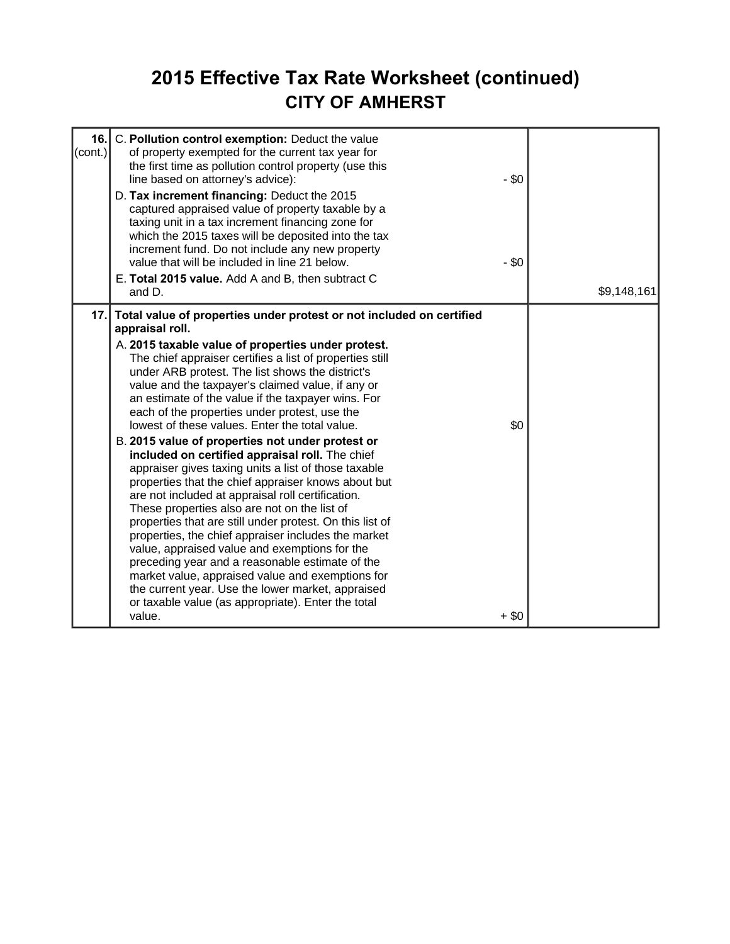### **2015 Effective Tax Rate Worksheet (continued) CITY OF AMHERST**

| 16.<br>C. Pollution control exemption: Deduct the value<br>$\text{(cont.)}$<br>of property exempted for the current tax year for<br>the first time as pollution control property (use this<br>line based on attorney's advice):<br>D. Tax increment financing: Deduct the 2015<br>captured appraised value of property taxable by a<br>taxing unit in a tax increment financing zone for<br>which the 2015 taxes will be deposited into the tax<br>increment fund. Do not include any new property<br>value that will be included in line 21 below.<br>E. Total 2015 value. Add A and B, then subtract C<br>and D.                                                                                                                                                                                                                                                                                                                                                                                                                                                                                                                                                                                         | $-$ \$0<br>$-$ \$0 | \$9,148,161 |
|------------------------------------------------------------------------------------------------------------------------------------------------------------------------------------------------------------------------------------------------------------------------------------------------------------------------------------------------------------------------------------------------------------------------------------------------------------------------------------------------------------------------------------------------------------------------------------------------------------------------------------------------------------------------------------------------------------------------------------------------------------------------------------------------------------------------------------------------------------------------------------------------------------------------------------------------------------------------------------------------------------------------------------------------------------------------------------------------------------------------------------------------------------------------------------------------------------|--------------------|-------------|
| 17. Total value of properties under protest or not included on certified<br>appraisal roll.<br>A. 2015 taxable value of properties under protest.<br>The chief appraiser certifies a list of properties still<br>under ARB protest. The list shows the district's<br>value and the taxpayer's claimed value, if any or<br>an estimate of the value if the taxpayer wins. For<br>each of the properties under protest, use the<br>lowest of these values. Enter the total value.<br>B. 2015 value of properties not under protest or<br>included on certified appraisal roll. The chief<br>appraiser gives taxing units a list of those taxable<br>properties that the chief appraiser knows about but<br>are not included at appraisal roll certification.<br>These properties also are not on the list of<br>properties that are still under protest. On this list of<br>properties, the chief appraiser includes the market<br>value, appraised value and exemptions for the<br>preceding year and a reasonable estimate of the<br>market value, appraised value and exemptions for<br>the current year. Use the lower market, appraised<br>or taxable value (as appropriate). Enter the total<br>value. | \$0<br>$+$ \$0     |             |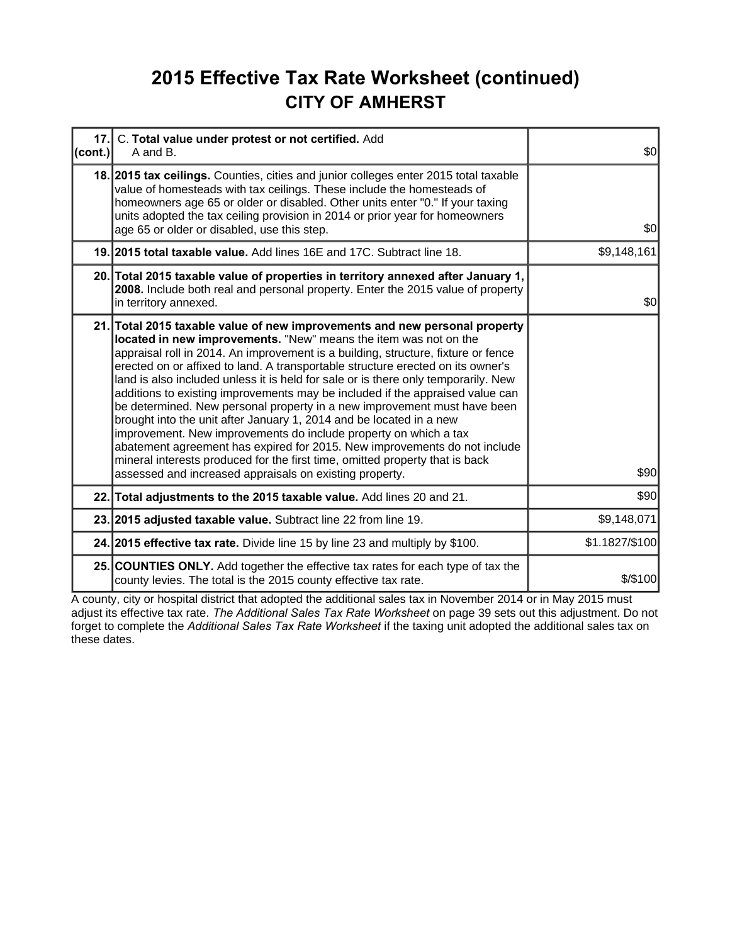### **2015 Effective Tax Rate Worksheet (continued) CITY OF AMHERST**

| 17.1<br>$ _{\text{(cont.)}} $ | C. Total value under protest or not certified. Add<br>A and B.                                                                                                                                                                                                                                                                                                                                                                                                                                                                                                                                                                                                                                                                                                                                                                                                                                                                               | \$0            |
|-------------------------------|----------------------------------------------------------------------------------------------------------------------------------------------------------------------------------------------------------------------------------------------------------------------------------------------------------------------------------------------------------------------------------------------------------------------------------------------------------------------------------------------------------------------------------------------------------------------------------------------------------------------------------------------------------------------------------------------------------------------------------------------------------------------------------------------------------------------------------------------------------------------------------------------------------------------------------------------|----------------|
|                               | 18. 2015 tax ceilings. Counties, cities and junior colleges enter 2015 total taxable<br>value of homesteads with tax ceilings. These include the homesteads of<br>homeowners age 65 or older or disabled. Other units enter "0." If your taxing<br>units adopted the tax ceiling provision in 2014 or prior year for homeowners<br>age 65 or older or disabled, use this step.                                                                                                                                                                                                                                                                                                                                                                                                                                                                                                                                                               | \$0            |
|                               | 19. 2015 total taxable value. Add lines 16E and 17C. Subtract line 18.                                                                                                                                                                                                                                                                                                                                                                                                                                                                                                                                                                                                                                                                                                                                                                                                                                                                       | \$9,148,161    |
|                               | 20. Total 2015 taxable value of properties in territory annexed after January 1,<br>2008. Include both real and personal property. Enter the 2015 value of property<br>in territory annexed.                                                                                                                                                                                                                                                                                                                                                                                                                                                                                                                                                                                                                                                                                                                                                 | \$0            |
|                               | 21. Total 2015 taxable value of new improvements and new personal property<br>located in new improvements. "New" means the item was not on the<br>appraisal roll in 2014. An improvement is a building, structure, fixture or fence<br>erected on or affixed to land. A transportable structure erected on its owner's<br>land is also included unless it is held for sale or is there only temporarily. New<br>additions to existing improvements may be included if the appraised value can<br>be determined. New personal property in a new improvement must have been<br>brought into the unit after January 1, 2014 and be located in a new<br>improvement. New improvements do include property on which a tax<br>abatement agreement has expired for 2015. New improvements do not include<br>mineral interests produced for the first time, omitted property that is back<br>assessed and increased appraisals on existing property. | \$90           |
|                               | 22. Total adjustments to the 2015 taxable value. Add lines 20 and 21.                                                                                                                                                                                                                                                                                                                                                                                                                                                                                                                                                                                                                                                                                                                                                                                                                                                                        | \$90           |
|                               | 23. 2015 adjusted taxable value. Subtract line 22 from line 19.                                                                                                                                                                                                                                                                                                                                                                                                                                                                                                                                                                                                                                                                                                                                                                                                                                                                              | \$9,148,071    |
|                               | 24. 2015 effective tax rate. Divide line 15 by line 23 and multiply by \$100.                                                                                                                                                                                                                                                                                                                                                                                                                                                                                                                                                                                                                                                                                                                                                                                                                                                                | \$1.1827/\$100 |
|                               | 25. COUNTIES ONLY. Add together the effective tax rates for each type of tax the<br>county levies. The total is the 2015 county effective tax rate.                                                                                                                                                                                                                                                                                                                                                                                                                                                                                                                                                                                                                                                                                                                                                                                          | $$$ /\$100     |

A county, city or hospital district that adopted the additional sales tax in November 2014 or in May 2015 must adjust its effective tax rate. *The Additional Sales Tax Rate Worksheet* on page 39 sets out this adjustment. Do not forget to complete the *Additional Sales Tax Rate Worksheet* if the taxing unit adopted the additional sales tax on these dates.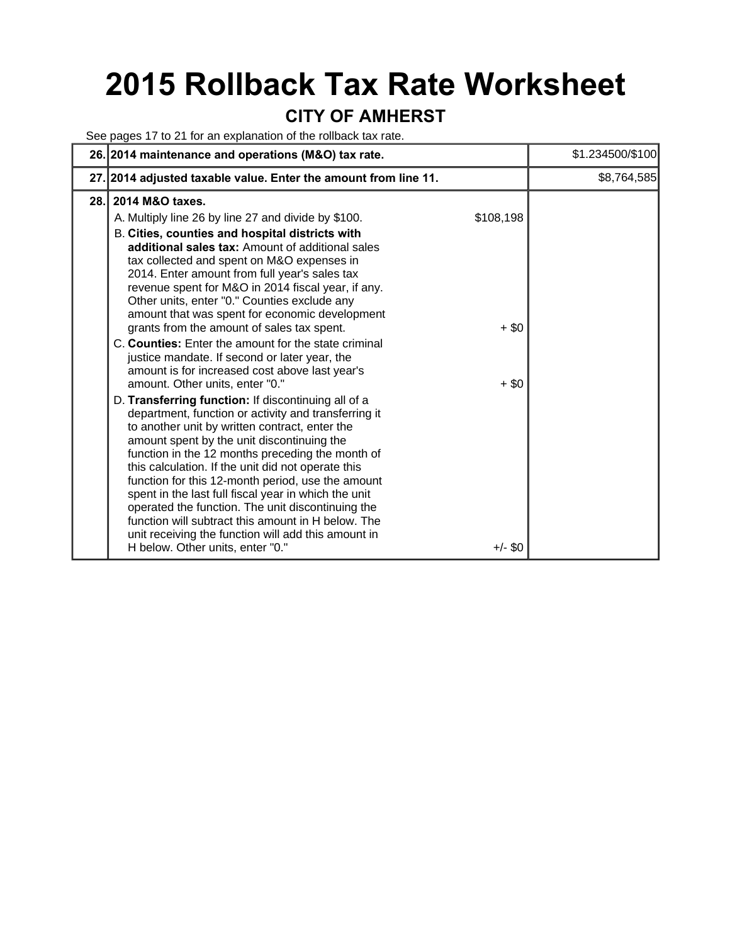# **2015 Rollback Tax Rate Worksheet**

### **CITY OF AMHERST**

See pages 17 to 21 for an explanation of the rollback tax rate.

|      | 26. 2014 maintenance and operations (M&O) tax rate.                                                                                                                                                                                                                                                                                                                                                                                                                                                                                                                                                                                                                         |                      | \$1.234500/\$100 |
|------|-----------------------------------------------------------------------------------------------------------------------------------------------------------------------------------------------------------------------------------------------------------------------------------------------------------------------------------------------------------------------------------------------------------------------------------------------------------------------------------------------------------------------------------------------------------------------------------------------------------------------------------------------------------------------------|----------------------|------------------|
|      | 27. 2014 adjusted taxable value. Enter the amount from line 11.                                                                                                                                                                                                                                                                                                                                                                                                                                                                                                                                                                                                             |                      | \$8,764,585      |
| 28.1 | 2014 M&O taxes.                                                                                                                                                                                                                                                                                                                                                                                                                                                                                                                                                                                                                                                             |                      |                  |
|      | A. Multiply line 26 by line 27 and divide by \$100.<br>B. Cities, counties and hospital districts with<br>additional sales tax: Amount of additional sales<br>tax collected and spent on M&O expenses in<br>2014. Enter amount from full year's sales tax<br>revenue spent for M&O in 2014 fiscal year, if any.<br>Other units, enter "0." Counties exclude any<br>amount that was spent for economic development<br>grants from the amount of sales tax spent.<br>C. Counties: Enter the amount for the state criminal<br>justice mandate. If second or later year, the<br>amount is for increased cost above last year's                                                  | \$108,198<br>$+$ \$0 |                  |
|      | amount. Other units, enter "0."<br>D. Transferring function: If discontinuing all of a<br>department, function or activity and transferring it<br>to another unit by written contract, enter the<br>amount spent by the unit discontinuing the<br>function in the 12 months preceding the month of<br>this calculation. If the unit did not operate this<br>function for this 12-month period, use the amount<br>spent in the last full fiscal year in which the unit<br>operated the function. The unit discontinuing the<br>function will subtract this amount in H below. The<br>unit receiving the function will add this amount in<br>H below. Other units, enter "0." | $+$ \$0<br>$+/-$ \$0 |                  |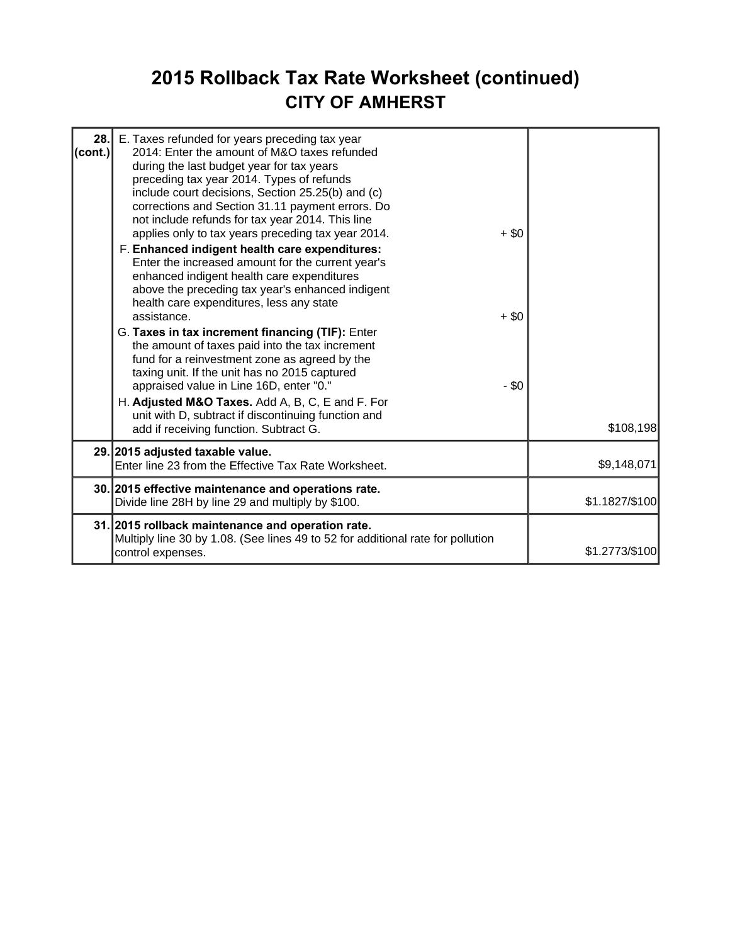### **2015 Rollback Tax Rate Worksheet (continued) CITY OF AMHERST**

| 28.<br>$ $ (cont.) | E. Taxes refunded for years preceding tax year<br>2014: Enter the amount of M&O taxes refunded<br>during the last budget year for tax years<br>preceding tax year 2014. Types of refunds<br>include court decisions, Section 25.25(b) and (c)<br>corrections and Section 31.11 payment errors. Do<br>not include refunds for tax year 2014. This line<br>applies only to tax years preceding tax year 2014.<br>F. Enhanced indigent health care expenditures:<br>Enter the increased amount for the current year's<br>enhanced indigent health care expenditures<br>above the preceding tax year's enhanced indigent<br>health care expenditures, less any state<br>assistance.<br>G. Taxes in tax increment financing (TIF): Enter<br>the amount of taxes paid into the tax increment<br>fund for a reinvestment zone as agreed by the<br>taxing unit. If the unit has no 2015 captured<br>appraised value in Line 16D, enter "0."<br>H. Adjusted M&O Taxes. Add A, B, C, E and F. For<br>unit with D, subtract if discontinuing function and<br>add if receiving function. Subtract G. | $+ $0$<br>$+ $0$<br>- \$0 | \$108,198      |
|--------------------|------------------------------------------------------------------------------------------------------------------------------------------------------------------------------------------------------------------------------------------------------------------------------------------------------------------------------------------------------------------------------------------------------------------------------------------------------------------------------------------------------------------------------------------------------------------------------------------------------------------------------------------------------------------------------------------------------------------------------------------------------------------------------------------------------------------------------------------------------------------------------------------------------------------------------------------------------------------------------------------------------------------------------------------------------------------------------------------|---------------------------|----------------|
|                    | 29. 2015 adjusted taxable value.<br>Enter line 23 from the Effective Tax Rate Worksheet.                                                                                                                                                                                                                                                                                                                                                                                                                                                                                                                                                                                                                                                                                                                                                                                                                                                                                                                                                                                                 |                           | \$9,148,071    |
|                    | 30. 2015 effective maintenance and operations rate.<br>Divide line 28H by line 29 and multiply by \$100.                                                                                                                                                                                                                                                                                                                                                                                                                                                                                                                                                                                                                                                                                                                                                                                                                                                                                                                                                                                 |                           | \$1.1827/\$100 |
|                    | 31. 2015 rollback maintenance and operation rate.<br>Multiply line 30 by 1.08. (See lines 49 to 52 for additional rate for pollution<br>control expenses.                                                                                                                                                                                                                                                                                                                                                                                                                                                                                                                                                                                                                                                                                                                                                                                                                                                                                                                                |                           | \$1.2773/\$100 |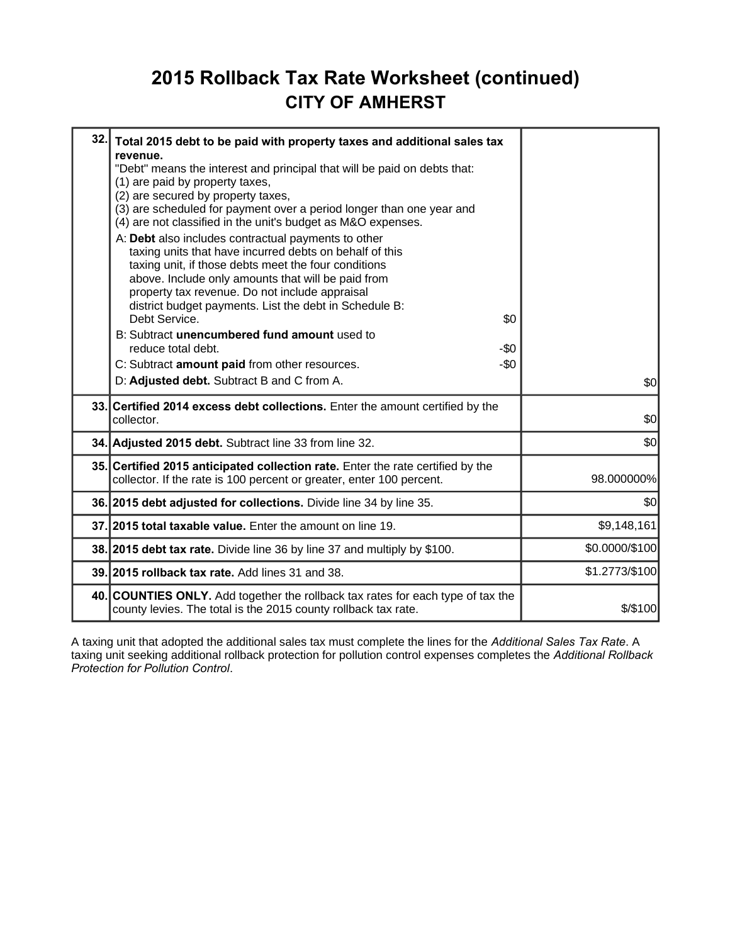### **2015 Rollback Tax Rate Worksheet (continued) CITY OF AMHERST**

| 32. | Total 2015 debt to be paid with property taxes and additional sales tax<br>revenue.<br>"Debt" means the interest and principal that will be paid on debts that:<br>(1) are paid by property taxes,<br>(2) are secured by property taxes,<br>(3) are scheduled for payment over a period longer than one year and<br>(4) are not classified in the unit's budget as M&O expenses.<br>A: Debt also includes contractual payments to other<br>taxing units that have incurred debts on behalf of this<br>taxing unit, if those debts meet the four conditions<br>above. Include only amounts that will be paid from<br>property tax revenue. Do not include appraisal<br>district budget payments. List the debt in Schedule B:<br>Debt Service.<br>B: Subtract unencumbered fund amount used to<br>reduce total debt.<br>C: Subtract amount paid from other resources.<br>D: Adjusted debt. Subtract B and C from A. | \$0<br>-\$0<br>$-50$ | \$0            |  |
|-----|--------------------------------------------------------------------------------------------------------------------------------------------------------------------------------------------------------------------------------------------------------------------------------------------------------------------------------------------------------------------------------------------------------------------------------------------------------------------------------------------------------------------------------------------------------------------------------------------------------------------------------------------------------------------------------------------------------------------------------------------------------------------------------------------------------------------------------------------------------------------------------------------------------------------|----------------------|----------------|--|
|     | 33. Certified 2014 excess debt collections. Enter the amount certified by the<br>collector.                                                                                                                                                                                                                                                                                                                                                                                                                                                                                                                                                                                                                                                                                                                                                                                                                        |                      | \$0            |  |
|     | 34. Adjusted 2015 debt. Subtract line 33 from line 32.                                                                                                                                                                                                                                                                                                                                                                                                                                                                                                                                                                                                                                                                                                                                                                                                                                                             |                      | \$0            |  |
|     | 35. Certified 2015 anticipated collection rate. Enter the rate certified by the<br>collector. If the rate is 100 percent or greater, enter 100 percent.                                                                                                                                                                                                                                                                                                                                                                                                                                                                                                                                                                                                                                                                                                                                                            |                      | 98.000000%     |  |
|     | 36. 2015 debt adjusted for collections. Divide line 34 by line 35.                                                                                                                                                                                                                                                                                                                                                                                                                                                                                                                                                                                                                                                                                                                                                                                                                                                 |                      | \$0            |  |
|     | 37. 2015 total taxable value. Enter the amount on line 19.                                                                                                                                                                                                                                                                                                                                                                                                                                                                                                                                                                                                                                                                                                                                                                                                                                                         |                      | \$9,148,161    |  |
|     | 38. 2015 debt tax rate. Divide line 36 by line 37 and multiply by \$100.                                                                                                                                                                                                                                                                                                                                                                                                                                                                                                                                                                                                                                                                                                                                                                                                                                           |                      | \$0.0000/\$100 |  |
|     | 39. 2015 rollback tax rate. Add lines 31 and 38.                                                                                                                                                                                                                                                                                                                                                                                                                                                                                                                                                                                                                                                                                                                                                                                                                                                                   |                      | \$1.2773/\$100 |  |
|     | 40. COUNTIES ONLY. Add together the rollback tax rates for each type of tax the<br>county levies. The total is the 2015 county rollback tax rate.                                                                                                                                                                                                                                                                                                                                                                                                                                                                                                                                                                                                                                                                                                                                                                  |                      | \$/\$100       |  |

A taxing unit that adopted the additional sales tax must complete the lines for the *Additional Sales Tax Rate*. A taxing unit seeking additional rollback protection for pollution control expenses completes the *Additional Rollback Protection for Pollution Control*.